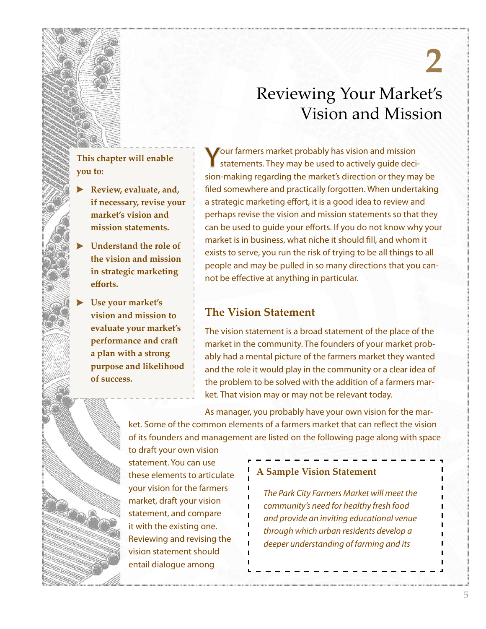# **2** Reviewing Your Market's

Vision and Mission

# **This chapter will enable you to:**

- **Review, evaluate, and, if necessary, revise your market's vision and mission statements.**
- **Understand the role of the vision and mission in strategic marketing efforts.**
- **Use your market's vision and mission to evaluate your market's performance and craft a plan with a strong purpose and likelihood of success.**

Your farmers market probably has vision and mission statements. They may be used to actively guide decision-making regarding the market's direction or they may be filed somewhere and practically forgotten. When undertaking a strategic marketing effort, it is a good idea to review and perhaps revise the vision and mission statements so that they can be used to guide your efforts. If you do not know why your market is in business, what niche it should fill, and whom it exists to serve, you run the risk of trying to be all things to all people and may be pulled in so many directions that you cannot be effective at anything in particular.

## **The Vision Statement**

The vision statement is a broad statement of the place of the market in the community. The founders of your market probably had a mental picture of the farmers market they wanted and the role it would play in the community or a clear idea of the problem to be solved with the addition of a farmers market. That vision may or may not be relevant today.

As manager, you probably have your own vision for the market. Some of the common elements of a farmers market that can reflect the vision of its founders and management are listed on the following page along with space

to draft your own vision statement. You can use these elements to articulate your vision for the farmers market, draft your vision statement, and compare it with the existing one. Reviewing and revising the vision statement should entail dialogue among

#### **A Sample Vision Statement**

*The Park City Farmers Market will meet the community's need for healthy fresh food and provide an inviting educational venue through which urban residents develop a deeper understanding of farming and its*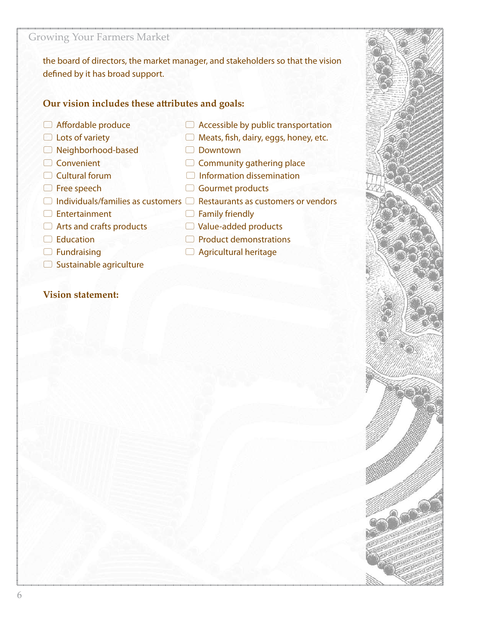the board of directors, the market manager, and stakeholders so that the vision defined by it has broad support.

## **Our vision includes these attributes and goals:**

- 
- 
- Neighborhood-based Downtown
- 
- 
- 
- 
- 
- 
- 
- 
- $\Box$  Sustainable agriculture

#### **Vision statement:**

- $\Box$  Affordable produce  $\Box$  Accessible by public transportation
- $\Box$  Lots of variety  $\Box$  Meats, fish, dairy, eggs, honey, etc.
- Convenient Community gathering place
- $\Box$  Cultural forum  $\Box$  Information dissemination
	-
- $\Box$  Individuals/families as customers  $\Box$  Restaurants as customers or vendors
	-
- □ Education Product demonstrations
- □ Fundraising **Bundraising Bundraising D** Agricultural heritage



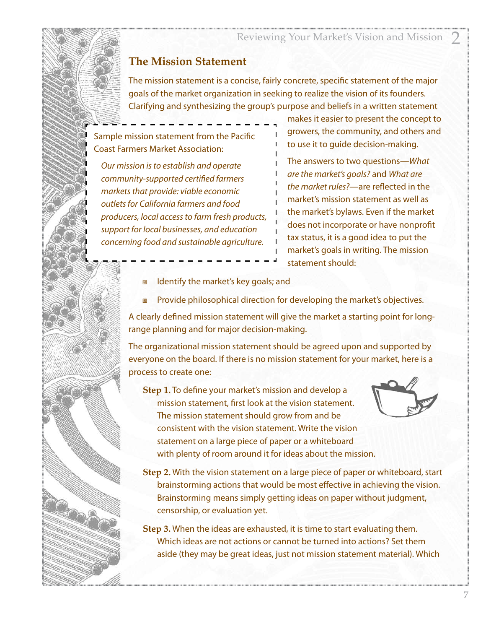Reviewing Your Market's Vision and Mission 2

## **The Mission Statement**

The mission statement is a concise, fairly concrete, specific statement of the major goals of the market organization in seeking to realize the vision of its founders. Clarifying and synthesizing the group's purpose and beliefs in a written statement

Sample mission statement from the Pacific Coast Farmers Market Association:

*Our mission is to establish and operate community-supported certified farmers markets that provide: viable economic outlets for California farmers and food producers, local access to farm fresh products, support for local businesses, and education concerning food and sustainable agriculture.*

makes it easier to present the concept to growers, the community, and others and to use it to guide decision-making.

The answers to two questions—*What are the market's goals?* and *What are the market rules?*—are reflected in the market's mission statement as well as the market's bylaws. Even if the market does not incorporate or have nonprofit tax status, it is a good idea to put the market's goals in writing. The mission statement should:

- Identify the market's key goals; and
- Provide philosophical direction for developing the market's objectives.

A clearly defined mission statement will give the market a starting point for longrange planning and for major decision-making.

The organizational mission statement should be agreed upon and supported by everyone on the board. If there is no mission statement for your market, here is a process to create one:

**Step 1.** To define your market's mission and develop a mission statement, first look at the vision statement. The mission statement should grow from and be consistent with the vision statement. Write the vision statement on a large piece of paper or a whiteboard with plenty of room around it for ideas about the mission.



**Step 2.** With the vision statement on a large piece of paper or whiteboard, start brainstorming actions that would be most effective in achieving the vision. Brainstorming means simply getting ideas on paper without judgment, censorship, or evaluation yet.

**Step 3.** When the ideas are exhausted, it is time to start evaluating them. Which ideas are not actions or cannot be turned into actions? Set them aside (they may be great ideas, just not mission statement material). Which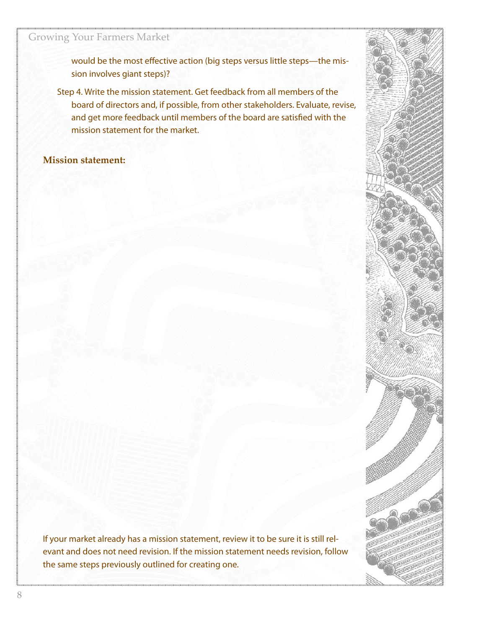would be the most effective action (big steps versus little steps—the mission involves giant steps)?

Step 4. Write the mission statement. Get feedback from all members of the board of directors and, if possible, from other stakeholders. Evaluate, revise, and get more feedback until members of the board are satisfied with the mission statement for the market.

#### **Mission statement:**

If your market already has a mission statement, review it to be sure it is still relevant and does not need revision. If the mission statement needs revision, follow the same steps previously outlined for creating one.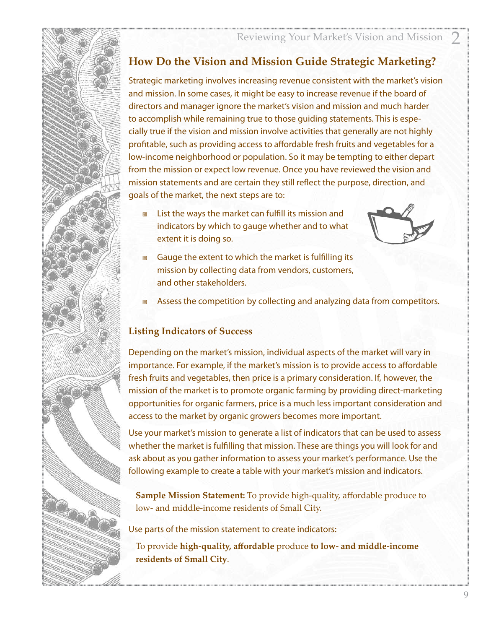# **How Do the Vision and Mission Guide Strategic Marketing?**

Strategic marketing involves increasing revenue consistent with the market's vision and mission. In some cases, it might be easy to increase revenue if the board of directors and manager ignore the market's vision and mission and much harder to accomplish while remaining true to those guiding statements. This is especially true if the vision and mission involve activities that generally are not highly profitable, such as providing access to affordable fresh fruits and vegetables for a low-income neighborhood or population. So it may be tempting to either depart from the mission or expect low revenue. Once you have reviewed the vision and mission statements and are certain they still reflect the purpose, direction, and goals of the market, the next steps are to:

 List the ways the market can fulfill its mission and indicators by which to gauge whether and to what extent it is doing so.



- Gauge the extent to which the market is fulfilling its mission by collecting data from vendors, customers, and other stakeholders.
- Assess the competition by collecting and analyzing data from competitors.

#### **Listing Indicators of Success**

Depending on the market's mission, individual aspects of the market will vary in importance. For example, if the market's mission is to provide access to affordable fresh fruits and vegetables, then price is a primary consideration. If, however, the mission of the market is to promote organic farming by providing direct-marketing opportunities for organic farmers, price is a much less important consideration and access to the market by organic growers becomes more important.

Use your market's mission to generate a list of indicators that can be used to assess whether the market is fulfilling that mission. These are things you will look for and ask about as you gather information to assess your market's performance. Use the following example to create a table with your market's mission and indicators.

**Sample Mission Statement:** To provide high-quality, affordable produce to low- and middle-income residents of Small City.

Use parts of the mission statement to create indicators:

To provide **high-quality, affordable** produce **to low- and middle-income residents of Small City**.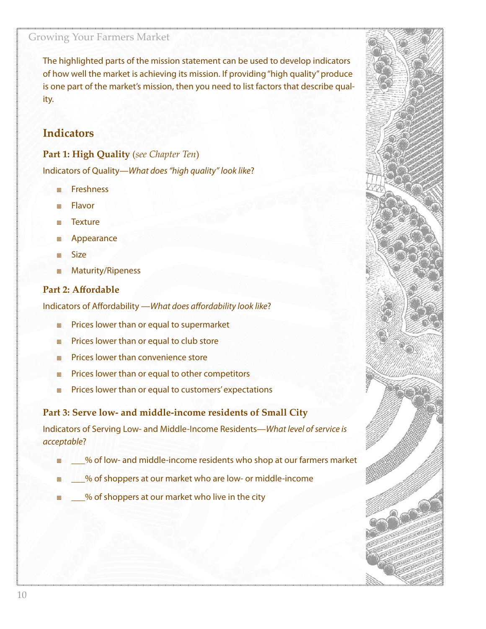The highlighted parts of the mission statement can be used to develop indicators of how well the market is achieving its mission. If providing "high quality" produce is one part of the market's mission, then you need to list factors that describe quality.

### **Indicators**

**Part 1: High Quality** (*see Chapter Ten*) Indicators of Quality—*What does "high quality" look like*?

- **n** Freshness
- **Elavor**
- Texture
- Appearance
- a Size
- Maturity/Ripeness

#### **Part 2: Affordable**

Indicators of Affordability —*What does affordability look like*?

- Prices lower than or equal to supermarket
- Prices lower than or equal to club store
- Prices lower than convenience store
- Prices lower than or equal to other competitors
- Prices lower than or equal to customers' expectations

**Part 3: Serve low- and middle-income residents of Small City**

Indicators of Serving Low- and Middle-Income Residents—*What level of service is acceptable*?

- \_\_\_% of low- and middle-income residents who shop at our farmers market
- \_\_\_% of shoppers at our market who are low- or middle-income
- \_\_\_% of shoppers at our market who live in the city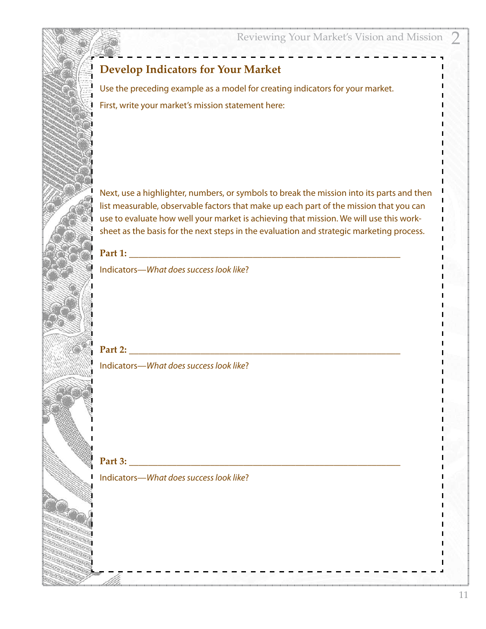# **Develop Indicators for Your Market**

Use the preceding example as a model for creating indicators for your market. First, write your market's mission statement here:

Next, use a highlighter, numbers, or symbols to break the mission into its parts and then list measurable, observable factors that make up each part of the mission that you can use to evaluate how well your market is achieving that mission. We will use this worksheet as the basis for the next steps in the evaluation and strategic marketing process.

**Part 1: \_\_\_\_\_\_\_\_\_\_\_\_\_\_\_\_\_\_\_\_\_\_\_\_\_\_\_\_\_\_\_\_\_\_\_\_\_\_\_\_\_\_\_\_\_\_\_\_\_\_\_\_\_\_\_\_\_**

Indicators—*What does success look like*?

**Part 2: \_\_\_\_\_\_\_\_\_\_\_\_\_\_\_\_\_\_\_\_\_\_\_\_\_\_\_\_\_\_\_\_\_\_\_\_\_\_\_\_\_\_\_\_\_\_\_\_\_\_\_\_\_\_\_\_\_** Indicators—*What does success look like*?

**Part 3:** 

Indicators—*What does success look like*?